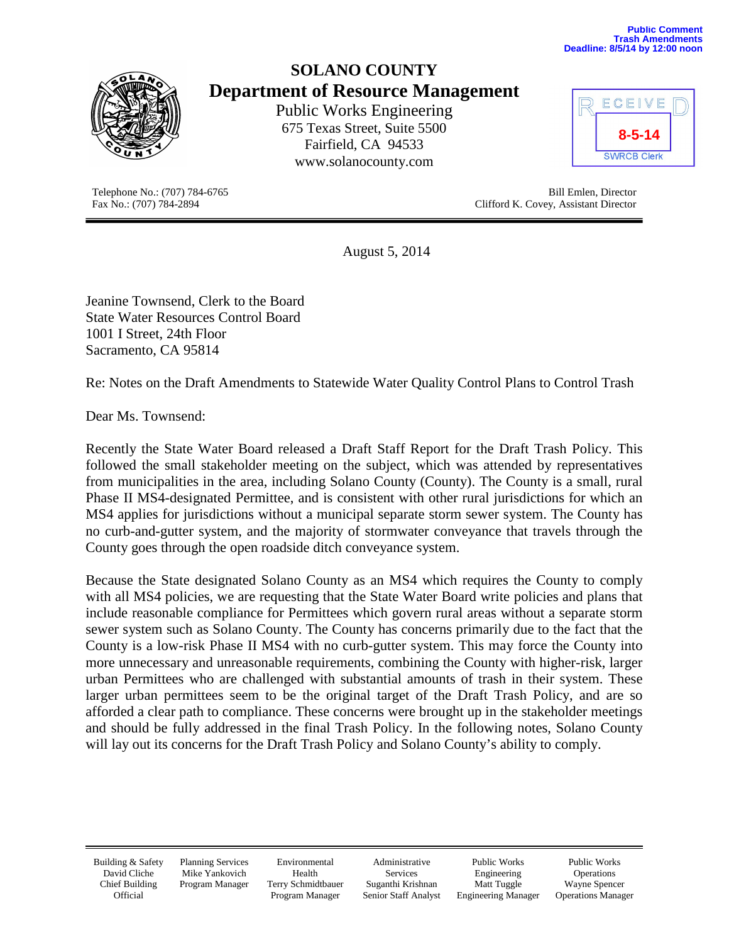**Public Comment Trash Amendments Deadline: 8/5/14 by 12:00 noon**



# **SOLANO COUNTY Department of Resource Management**

Public Works Engineering 675 Texas Street, Suite 5500 Fairfield, CA 94533 [www.solanocounty.com](http://www.solanocounty.com/)



| ECEIVE             |  |
|--------------------|--|
| $8 - 5 - 14$       |  |
| <b>SWRCB Clerk</b> |  |

Telephone No.: (707) 784-6765<br>
Fax No.: (707) 784-2894<br>
Clifford K. Covey, Assistant Director Clifford K. Covey, Assistant Director

August 5, 2014

Jeanine Townsend, Clerk to the Board State Water Resources Control Board 1001 I Street, 24th Floor Sacramento, CA 95814

Re: Notes on the Draft Amendments to Statewide Water Quality Control Plans to Control Trash

Dear Ms. Townsend:

Recently the State Water Board released a Draft Staff Report for the Draft Trash Policy. This followed the small stakeholder meeting on the subject, which was attended by representatives from municipalities in the area, including Solano County (County). The County is a small, rural Phase II MS4-designated Permittee, and is consistent with other rural jurisdictions for which an MS4 applies for jurisdictions without a municipal separate storm sewer system. The County has no curb-and-gutter system, and the majority of stormwater conveyance that travels through the County goes through the open roadside ditch conveyance system.

Because the State designated Solano County as an MS4 which requires the County to comply with all MS4 policies, we are requesting that the State Water Board write policies and plans that include reasonable compliance for Permittees which govern rural areas without a separate storm sewer system such as Solano County. The County has concerns primarily due to the fact that the County is a low-risk Phase II MS4 with no curb-gutter system. This may force the County into more unnecessary and unreasonable requirements, combining the County with higher-risk, larger urban Permittees who are challenged with substantial amounts of trash in their system. These larger urban permittees seem to be the original target of the Draft Trash Policy, and are so afforded a clear path to compliance. These concerns were brought up in the stakeholder meetings and should be fully addressed in the final Trash Policy. In the following notes, Solano County will lay out its concerns for the Draft Trash Policy and Solano County's ability to comply.

Building & Safety David Cliche Chief Building **Official** 

Planning Services Mike Yankovich Program Manager

Environmental Health Terry Schmidtbauer Program Manager

Administrative Services Suganthi Krishnan Senior Staff Analyst

Public Works Engineering Matt Tuggle Engineering Manager

Public Works Operations Wayne Spencer Operations Manager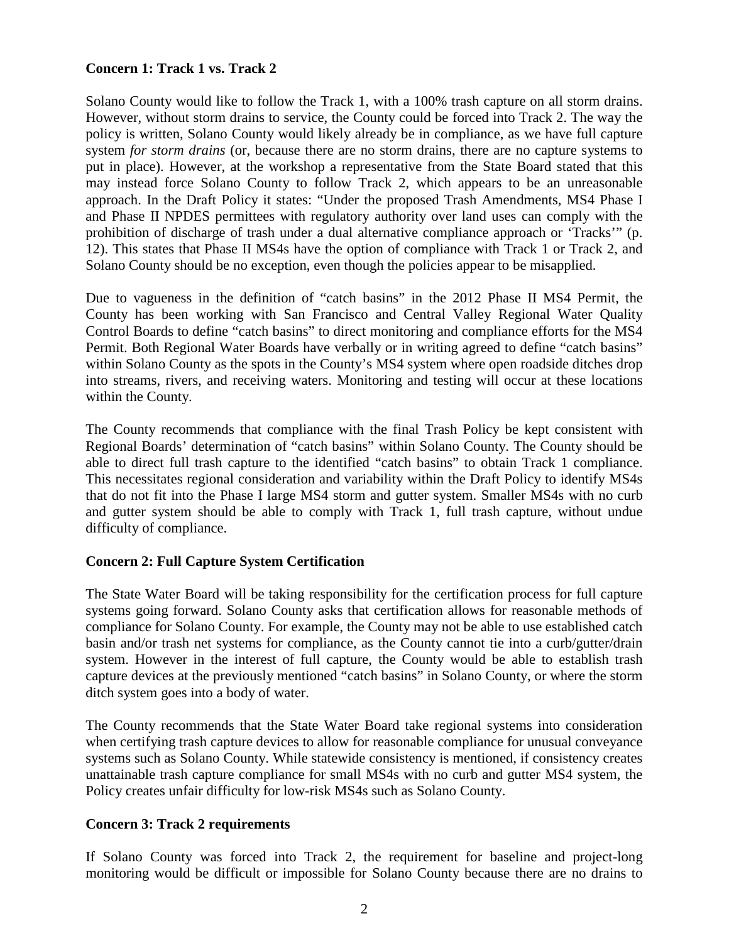## **Concern 1: Track 1 vs. Track 2**

Solano County would like to follow the Track 1, with a 100% trash capture on all storm drains. However, without storm drains to service, the County could be forced into Track 2. The way the policy is written, Solano County would likely already be in compliance, as we have full capture system *for storm drains* (or, because there are no storm drains, there are no capture systems to put in place). However, at the workshop a representative from the State Board stated that this may instead force Solano County to follow Track 2, which appears to be an unreasonable approach. In the Draft Policy it states: "Under the proposed Trash Amendments, MS4 Phase I and Phase II NPDES permittees with regulatory authority over land uses can comply with the prohibition of discharge of trash under a dual alternative compliance approach or 'Tracks'" (p. 12). This states that Phase II MS4s have the option of compliance with Track 1 or Track 2, and Solano County should be no exception, even though the policies appear to be misapplied.

Due to vagueness in the definition of "catch basins" in the 2012 Phase II MS4 Permit, the County has been working with San Francisco and Central Valley Regional Water Quality Control Boards to define "catch basins" to direct monitoring and compliance efforts for the MS4 Permit. Both Regional Water Boards have verbally or in writing agreed to define "catch basins" within Solano County as the spots in the County's MS4 system where open roadside ditches drop into streams, rivers, and receiving waters. Monitoring and testing will occur at these locations within the County.

The County recommends that compliance with the final Trash Policy be kept consistent with Regional Boards' determination of "catch basins" within Solano County. The County should be able to direct full trash capture to the identified "catch basins" to obtain Track 1 compliance. This necessitates regional consideration and variability within the Draft Policy to identify MS4s that do not fit into the Phase I large MS4 storm and gutter system. Smaller MS4s with no curb and gutter system should be able to comply with Track 1, full trash capture, without undue difficulty of compliance.

### **Concern 2: Full Capture System Certification**

The State Water Board will be taking responsibility for the certification process for full capture systems going forward. Solano County asks that certification allows for reasonable methods of compliance for Solano County. For example, the County may not be able to use established catch basin and/or trash net systems for compliance, as the County cannot tie into a curb/gutter/drain system. However in the interest of full capture, the County would be able to establish trash capture devices at the previously mentioned "catch basins" in Solano County, or where the storm ditch system goes into a body of water.

The County recommends that the State Water Board take regional systems into consideration when certifying trash capture devices to allow for reasonable compliance for unusual conveyance systems such as Solano County. While statewide consistency is mentioned, if consistency creates unattainable trash capture compliance for small MS4s with no curb and gutter MS4 system, the Policy creates unfair difficulty for low-risk MS4s such as Solano County.

### **Concern 3: Track 2 requirements**

If Solano County was forced into Track 2, the requirement for baseline and project-long monitoring would be difficult or impossible for Solano County because there are no drains to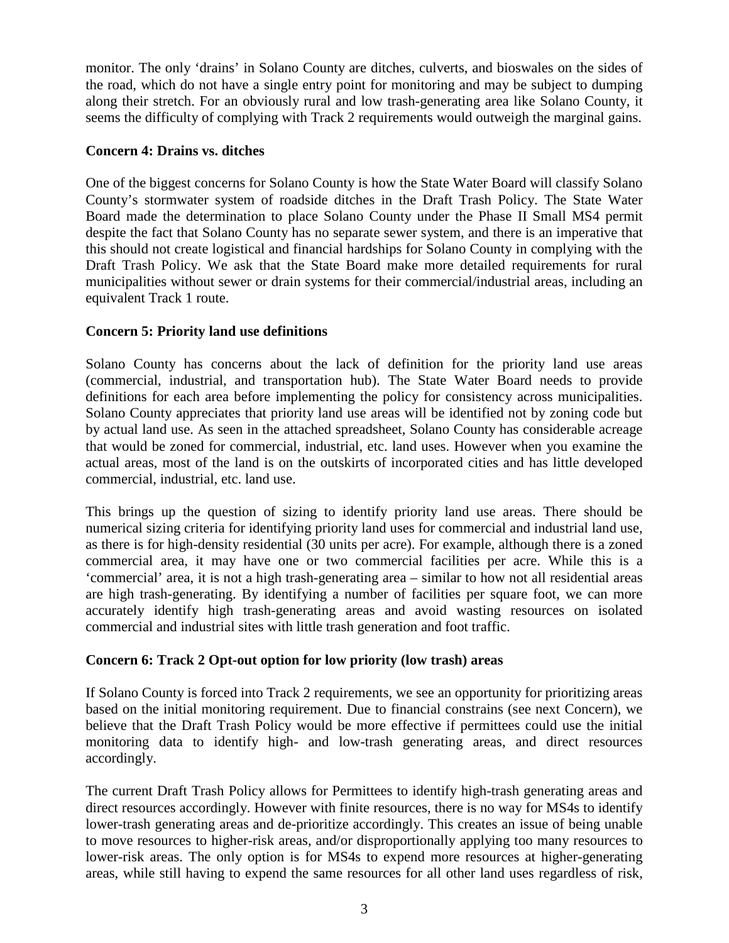monitor. The only 'drains' in Solano County are ditches, culverts, and bioswales on the sides of the road, which do not have a single entry point for monitoring and may be subject to dumping along their stretch. For an obviously rural and low trash-generating area like Solano County, it seems the difficulty of complying with Track 2 requirements would outweigh the marginal gains.

## **Concern 4: Drains vs. ditches**

One of the biggest concerns for Solano County is how the State Water Board will classify Solano County's stormwater system of roadside ditches in the Draft Trash Policy. The State Water Board made the determination to place Solano County under the Phase II Small MS4 permit despite the fact that Solano County has no separate sewer system, and there is an imperative that this should not create logistical and financial hardships for Solano County in complying with the Draft Trash Policy. We ask that the State Board make more detailed requirements for rural municipalities without sewer or drain systems for their commercial/industrial areas, including an equivalent Track 1 route.

# **Concern 5: Priority land use definitions**

Solano County has concerns about the lack of definition for the priority land use areas (commercial, industrial, and transportation hub). The State Water Board needs to provide definitions for each area before implementing the policy for consistency across municipalities. Solano County appreciates that priority land use areas will be identified not by zoning code but by actual land use. As seen in the attached spreadsheet, Solano County has considerable acreage that would be zoned for commercial, industrial, etc. land uses. However when you examine the actual areas, most of the land is on the outskirts of incorporated cities and has little developed commercial, industrial, etc. land use.

This brings up the question of sizing to identify priority land use areas. There should be numerical sizing criteria for identifying priority land uses for commercial and industrial land use, as there is for high-density residential (30 units per acre). For example, although there is a zoned commercial area, it may have one or two commercial facilities per acre. While this is a 'commercial' area, it is not a high trash-generating area – similar to how not all residential areas are high trash-generating. By identifying a number of facilities per square foot, we can more accurately identify high trash-generating areas and avoid wasting resources on isolated commercial and industrial sites with little trash generation and foot traffic.

### **Concern 6: Track 2 Opt-out option for low priority (low trash) areas**

If Solano County is forced into Track 2 requirements, we see an opportunity for prioritizing areas based on the initial monitoring requirement. Due to financial constrains (see next Concern), we believe that the Draft Trash Policy would be more effective if permittees could use the initial monitoring data to identify high- and low-trash generating areas, and direct resources accordingly.

The current Draft Trash Policy allows for Permittees to identify high-trash generating areas and direct resources accordingly. However with finite resources, there is no way for MS4s to identify lower-trash generating areas and de-prioritize accordingly. This creates an issue of being unable to move resources to higher-risk areas, and/or disproportionally applying too many resources to lower-risk areas. The only option is for MS4s to expend more resources at higher-generating areas, while still having to expend the same resources for all other land uses regardless of risk,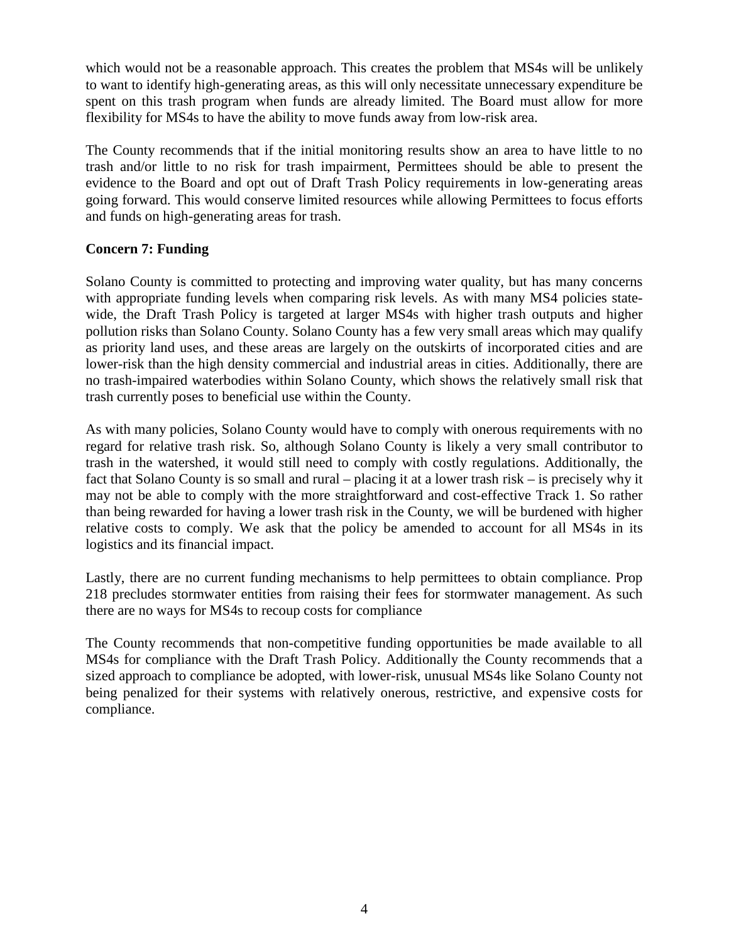which would not be a reasonable approach. This creates the problem that MS4s will be unlikely to want to identify high-generating areas, as this will only necessitate unnecessary expenditure be spent on this trash program when funds are already limited. The Board must allow for more flexibility for MS4s to have the ability to move funds away from low-risk area.

The County recommends that if the initial monitoring results show an area to have little to no trash and/or little to no risk for trash impairment, Permittees should be able to present the evidence to the Board and opt out of Draft Trash Policy requirements in low-generating areas going forward. This would conserve limited resources while allowing Permittees to focus efforts and funds on high-generating areas for trash.

# **Concern 7: Funding**

Solano County is committed to protecting and improving water quality, but has many concerns with appropriate funding levels when comparing risk levels. As with many MS4 policies statewide, the Draft Trash Policy is targeted at larger MS4s with higher trash outputs and higher pollution risks than Solano County. Solano County has a few very small areas which may qualify as priority land uses, and these areas are largely on the outskirts of incorporated cities and are lower-risk than the high density commercial and industrial areas in cities. Additionally, there are no trash-impaired waterbodies within Solano County, which shows the relatively small risk that trash currently poses to beneficial use within the County.

As with many policies, Solano County would have to comply with onerous requirements with no regard for relative trash risk. So, although Solano County is likely a very small contributor to trash in the watershed, it would still need to comply with costly regulations. Additionally, the fact that Solano County is so small and rural – placing it at a lower trash risk – is precisely why it may not be able to comply with the more straightforward and cost-effective Track 1. So rather than being rewarded for having a lower trash risk in the County, we will be burdened with higher relative costs to comply. We ask that the policy be amended to account for all MS4s in its logistics and its financial impact.

Lastly, there are no current funding mechanisms to help permittees to obtain compliance. Prop 218 precludes stormwater entities from raising their fees for stormwater management. As such there are no ways for MS4s to recoup costs for compliance

The County recommends that non-competitive funding opportunities be made available to all MS4s for compliance with the Draft Trash Policy. Additionally the County recommends that a sized approach to compliance be adopted, with lower-risk, unusual MS4s like Solano County not being penalized for their systems with relatively onerous, restrictive, and expensive costs for compliance.